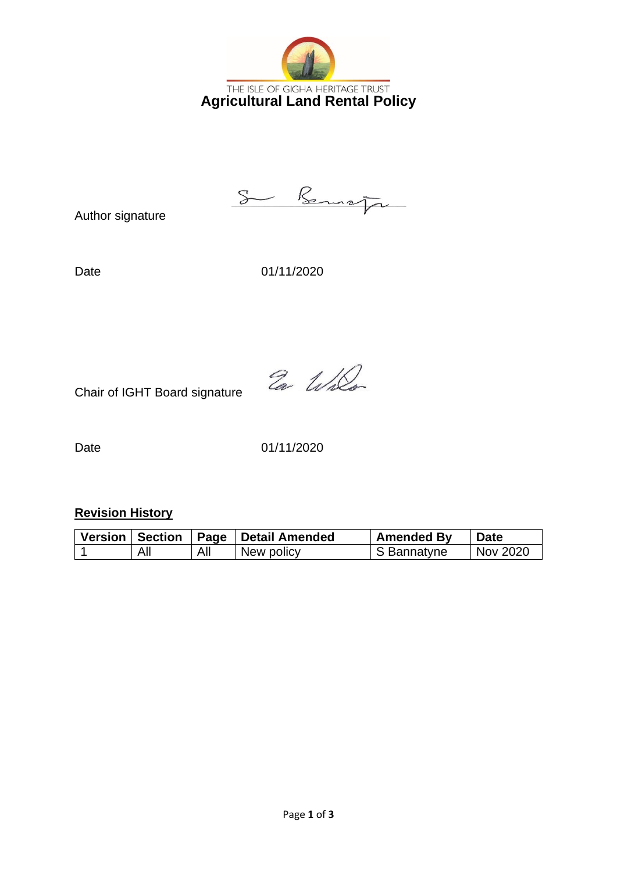

S Benson

Author signature

Date 01/11/2020

Ea Willo

Chair of IGHT Board signature

Date 01/11/2020

**Revision History**

| Version   Section | ∣ Paqe | Detail Amended | <b>Amended By</b> | <b>Date</b> |
|-------------------|--------|----------------|-------------------|-------------|
| All               | All    | New policy     | S Bannatyne       | Nov 2020    |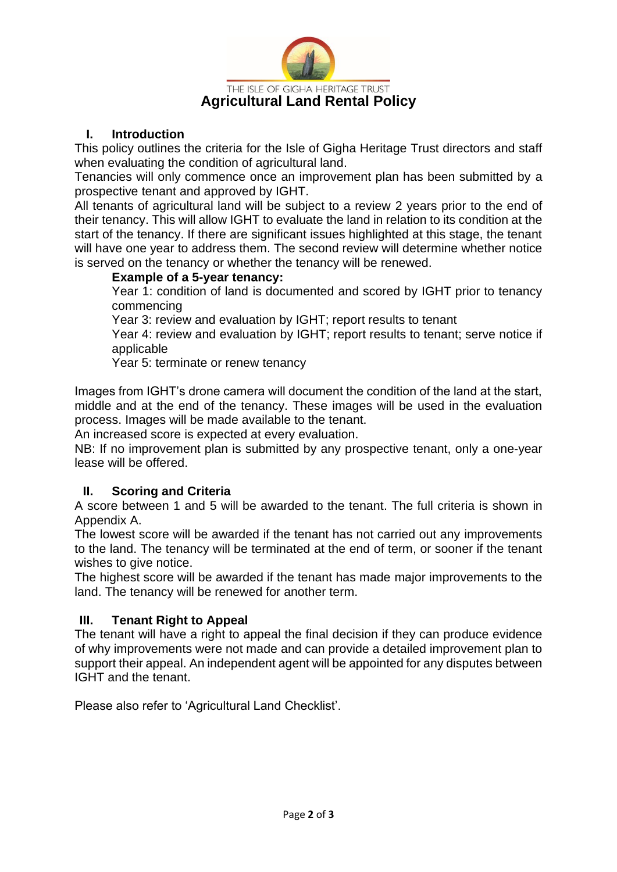

## **I. Introduction**

This policy outlines the criteria for the Isle of Gigha Heritage Trust directors and staff when evaluating the condition of agricultural land.

Tenancies will only commence once an improvement plan has been submitted by a prospective tenant and approved by IGHT.

All tenants of agricultural land will be subject to a review 2 years prior to the end of their tenancy. This will allow IGHT to evaluate the land in relation to its condition at the start of the tenancy. If there are significant issues highlighted at this stage, the tenant will have one year to address them. The second review will determine whether notice is served on the tenancy or whether the tenancy will be renewed.

### **Example of a 5-year tenancy:**

Year 1: condition of land is documented and scored by IGHT prior to tenancy commencing

Year 3: review and evaluation by IGHT; report results to tenant

Year 4: review and evaluation by IGHT; report results to tenant; serve notice if applicable

Year 5: terminate or renew tenancy

Images from IGHT's drone camera will document the condition of the land at the start, middle and at the end of the tenancy. These images will be used in the evaluation process. Images will be made available to the tenant.

An increased score is expected at every evaluation.

NB: If no improvement plan is submitted by any prospective tenant, only a one-year lease will be offered.

### **II. Scoring and Criteria**

A score between 1 and 5 will be awarded to the tenant. The full criteria is shown in Appendix A.

The lowest score will be awarded if the tenant has not carried out any improvements to the land. The tenancy will be terminated at the end of term, or sooner if the tenant wishes to give notice.

The highest score will be awarded if the tenant has made major improvements to the land. The tenancy will be renewed for another term.

### **III. Tenant Right to Appeal**

The tenant will have a right to appeal the final decision if they can produce evidence of why improvements were not made and can provide a detailed improvement plan to support their appeal. An independent agent will be appointed for any disputes between IGHT and the tenant.

Please also refer to 'Agricultural Land Checklist'.